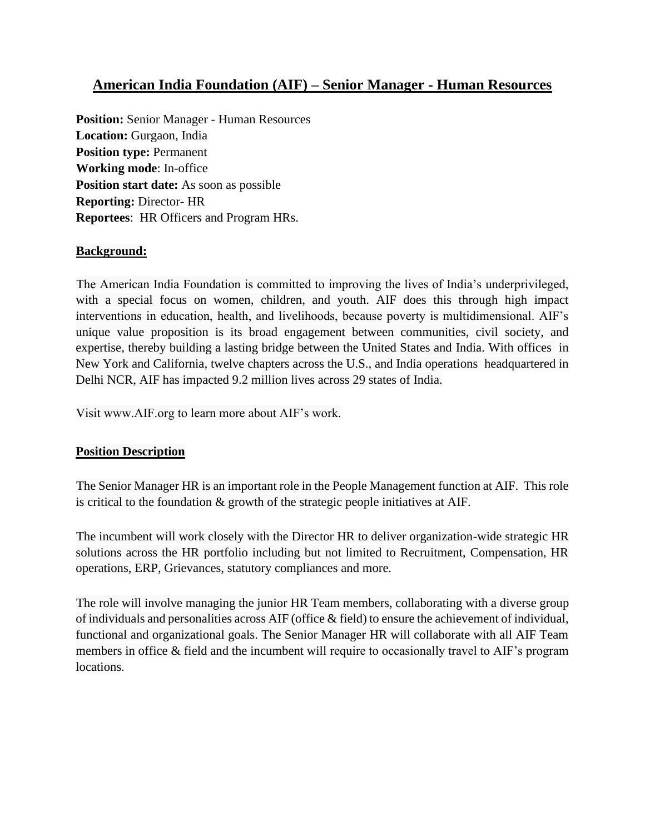# **American India Foundation (AIF) – Senior Manager - Human Resources**

**Position:** Senior Manager - Human Resources **Location:** Gurgaon, India **Position type:** Permanent **Working mode**: In-office **Position start date:** As soon as possible **Reporting:** Director- HR **Reportees**: HR Officers and Program HRs.

### **Background:**

The American India Foundation is committed to improving the lives of India's underprivileged, with a special focus on women, children, and youth. AIF does this through high impact interventions in education, health, and livelihoods, because poverty is multidimensional. AIF's unique value proposition is its broad engagement between communities, civil society, and expertise, thereby building a lasting bridge between the United States and India. With offices in New York and California, twelve chapters across the U.S., and India operations headquartered in Delhi NCR, AIF has impacted 9.2 million lives across 29 states of India.

Visit www.AIF.org to learn more about AIF's work.

### **Position Description**

The Senior Manager HR is an important role in the People Management function at AIF. This role is critical to the foundation & growth of the strategic people initiatives at AIF.

The incumbent will work closely with the Director HR to deliver organization-wide strategic HR solutions across the HR portfolio including but not limited to Recruitment, Compensation, HR operations, ERP, Grievances, statutory compliances and more.

The role will involve managing the junior HR Team members, collaborating with a diverse group of individuals and personalities across AIF (office & field) to ensure the achievement of individual, functional and organizational goals. The Senior Manager HR will collaborate with all AIF Team members in office & field and the incumbent will require to occasionally travel to AIF's program locations.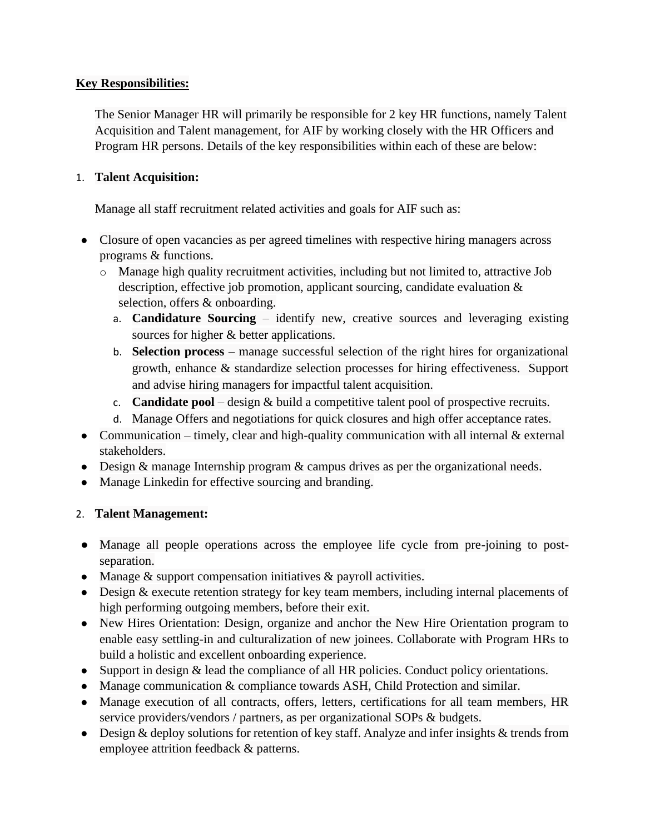## **Key Responsibilities:**

The Senior Manager HR will primarily be responsible for 2 key HR functions, namely Talent Acquisition and Talent management, for AIF by working closely with the HR Officers and Program HR persons. Details of the key responsibilities within each of these are below:

## 1. **Talent Acquisition:**

Manage all staff recruitment related activities and goals for AIF such as:

- Closure of open vacancies as per agreed timelines with respective hiring managers across programs & functions.
	- o Manage high quality recruitment activities, including but not limited to, attractive Job description, effective job promotion, applicant sourcing, candidate evaluation & selection, offers & onboarding.
		- a. **Candidature Sourcing**  identify new, creative sources and leveraging existing sources for higher  $&$  better applications.
		- b. **Selection process**  manage successful selection of the right hires for organizational growth, enhance & standardize selection processes for hiring effectiveness. Support and advise hiring managers for impactful talent acquisition.
		- c. **Candidate pool** design & build a competitive talent pool of prospective recruits.
		- d. Manage Offers and negotiations for quick closures and high offer acceptance rates.
- Communication timely, clear and high-quality communication with all internal  $&$  external stakeholders.
- Design & manage Internship program & campus drives as per the organizational needs.
- Manage Linkedin for effective sourcing and branding.

### 2. **Talent Management:**

- Manage all people operations across the employee life cycle from pre-joining to postseparation.
- Manage  $&$  support compensation initiatives  $&$  payroll activities.
- Design & execute retention strategy for key team members, including internal placements of high performing outgoing members, before their exit.
- New Hires Orientation: Design, organize and anchor the New Hire Orientation program to enable easy settling-in and culturalization of new joinees. Collaborate with Program HRs to build a holistic and excellent onboarding experience.
- Support in design & lead the compliance of all HR policies. Conduct policy orientations.
- Manage communication & compliance towards ASH, Child Protection and similar.
- Manage execution of all contracts, offers, letters, certifications for all team members, HR service providers/vendors / partners, as per organizational SOPs & budgets.
- Design & deploy solutions for retention of key staff. Analyze and infer insights & trends from employee attrition feedback & patterns.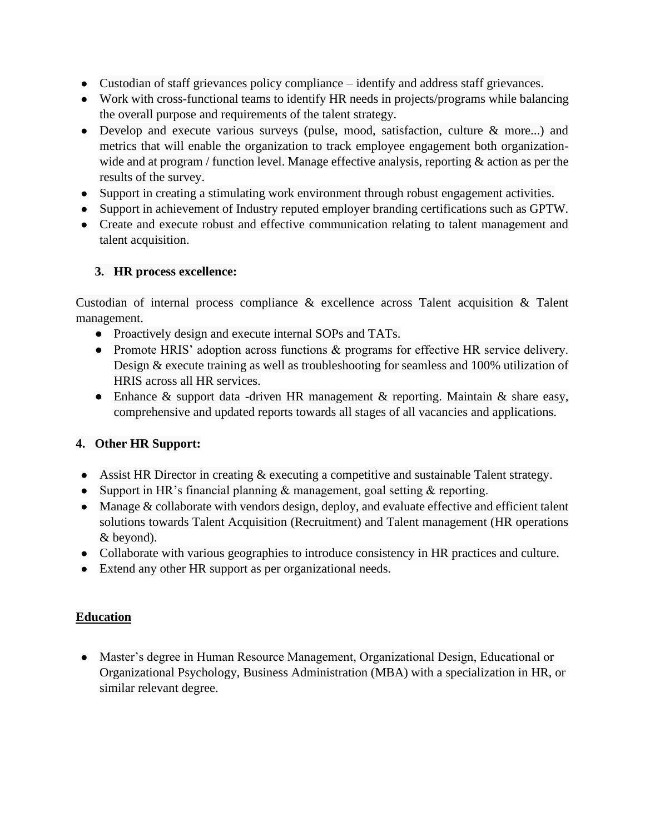- Custodian of staff grievances policy compliance identify and address staff grievances.
- Work with cross-functional teams to identify HR needs in projects/programs while balancing the overall purpose and requirements of the talent strategy.
- Develop and execute various surveys (pulse, mood, satisfaction, culture & more...) and metrics that will enable the organization to track employee engagement both organizationwide and at program / function level. Manage effective analysis, reporting  $\&$  action as per the results of the survey.
- Support in creating a stimulating work environment through robust engagement activities.
- Support in achievement of Industry reputed employer branding certifications such as GPTW.
- Create and execute robust and effective communication relating to talent management and talent acquisition.

### **3. HR process excellence:**

Custodian of internal process compliance & excellence across Talent acquisition & Talent management.

- Proactively design and execute internal SOPs and TATs.
- Promote HRIS' adoption across functions & programs for effective HR service delivery. Design & execute training as well as troubleshooting for seamless and 100% utilization of HRIS across all HR services.
- Enhance & support data -driven HR management & reporting. Maintain & share easy, comprehensive and updated reports towards all stages of all vacancies and applications.

### **4. Other HR Support:**

- Assist HR Director in creating & executing a competitive and sustainable Talent strategy.
- Support in HR's financial planning  $&$  management, goal setting  $&$  reporting.
- Manage & collaborate with vendors design, deploy, and evaluate effective and efficient talent solutions towards Talent Acquisition (Recruitment) and Talent management (HR operations & beyond).
- Collaborate with various geographies to introduce consistency in HR practices and culture.
- Extend any other HR support as per organizational needs.

### **Education**

● Master's degree in Human Resource Management, Organizational Design, Educational or Organizational Psychology, Business Administration (MBA) with a specialization in HR, or similar relevant degree.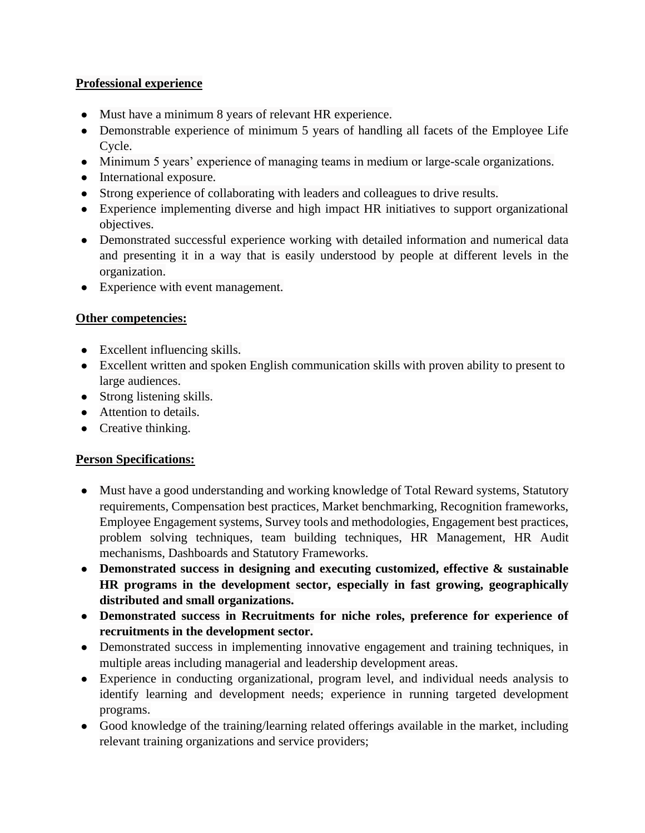## **Professional experience**

- Must have a minimum 8 years of relevant HR experience.
- Demonstrable experience of minimum 5 years of handling all facets of the Employee Life Cycle.
- Minimum 5 years' experience of managing teams in medium or large-scale organizations.
- International exposure.
- Strong experience of collaborating with leaders and colleagues to drive results.
- Experience implementing diverse and high impact HR initiatives to support organizational objectives.
- Demonstrated successful experience working with detailed information and numerical data and presenting it in a way that is easily understood by people at different levels in the organization.
- Experience with event management.

### **Other competencies:**

- Excellent influencing skills.
- Excellent written and spoken English communication skills with proven ability to present to large audiences.
- Strong listening skills.
- Attention to details.
- Creative thinking.

## **Person Specifications:**

- Must have a good understanding and working knowledge of Total Reward systems, Statutory requirements, Compensation best practices, Market benchmarking, Recognition frameworks, Employee Engagement systems, Survey tools and methodologies, Engagement best practices, problem solving techniques, team building techniques, HR Management, HR Audit mechanisms, Dashboards and Statutory Frameworks.
- **Demonstrated success in designing and executing customized, effective & sustainable HR programs in the development sector, especially in fast growing, geographically distributed and small organizations.**
- **Demonstrated success in Recruitments for niche roles, preference for experience of recruitments in the development sector.**
- Demonstrated success in implementing innovative engagement and training techniques, in multiple areas including managerial and leadership development areas.
- Experience in conducting organizational, program level, and individual needs analysis to identify learning and development needs; experience in running targeted development programs.
- Good knowledge of the training/learning related offerings available in the market, including relevant training organizations and service providers;